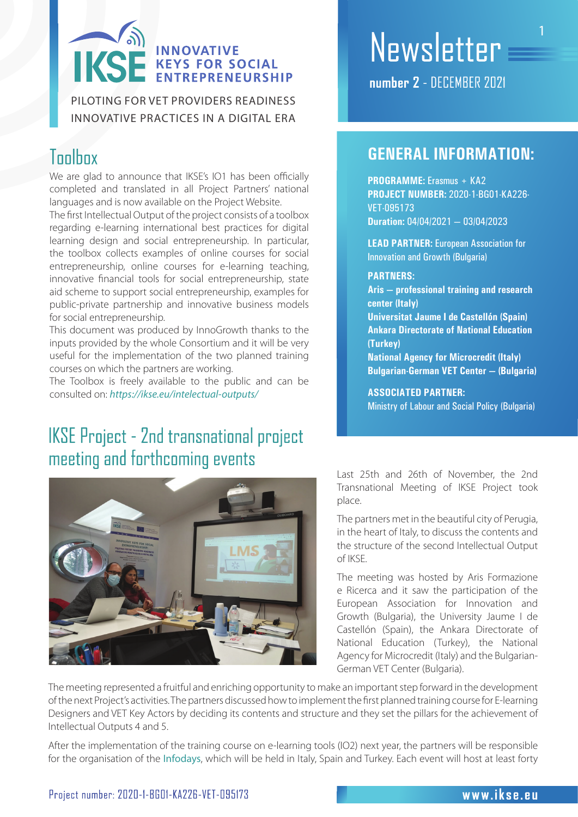# )<br>| INNOVATIVE<br>| ENTREPRENEURSH IKS

PILOTING FOR VET PROVIDERS READINESS INNOVATIVE PRACTICES IN A DIGITAL ERA

### **Toolbox**

We are glad to announce that IKSE's IO1 has been officially completed and translated in all Project Partners' national languages and is now available on the Project Website.

The first Intellectual Output of the project consists of a toolbox regarding e-learning international best practices for digital learning design and social entrepreneurship. In particular, the toolbox collects examples of online courses for social entrepreneurship, online courses for e-learning teaching, innovative financial tools for social entrepreneurship, state aid scheme to support social entrepreneurship, examples for public-private partnership and innovative business models for social entrepreneurship.

This document was produced by InnoGrowth thanks to the inputs provided by the whole Consortium and it will be very useful for the implementation of the two planned training courses on which the partners are working.

The Toolbox is freely available to the public and can be consulted on: *https://ikse.eu/intelectual-outputs/* 

### **IKSE Project - 2nd transnational project** meeting and forthcoming events



# Newsletter

number 7 - DECEMBER 2021

### **GENERAL INFORMATION:**

**PROGRAMME:** Erasmus + KA2 **PROJECT NUMBER:** 2020-1-BG01-KA226- VET-095173 **Duration:** 04/04/2021 – 03/04/2023

**LEAD PARTNER:** European Association for Innovation and Growth (Bulgaria)

#### **PARTNERS:**

**Aris – professional training and research center (Italy)**

**Universitat Jaume I de Castellón (Spain) Ankara Directorate of National Education (Turkey)**

**National Agency for Microcredit (Italy) Bulgarian-German VET Center – (Bulgaria)**

#### **ASSOCIATED PARTNER:**

Ministry of Labour and Social Policy (Bulgaria)

Last 25th and 26th of November, the 2nd Transnational Meeting of IKSE Project took place.

The partners met in the beautiful city of Perugia, in the heart of Italy, to discuss the contents and the structure of the second Intellectual Output of IKSE.

The meeting was hosted by Aris Formazione e Ricerca and it saw the participation of the European Association for Innovation and Growth (Bulgaria), the University Jaume I de Castellón (Spain), the Ankara Directorate of National Education (Turkey), the National Agency for Microcredit (Italy) and the Bulgarian-German VET Center (Bulgaria).

The meeting represented a fruitful and enriching opportunity to make an important step forward in the development of the next Project's activities. The partners discussed how to implement the first planned training course for E-learning Designers and VET Key Actors by deciding its contents and structure and they set the pillars for the achievement of Intellectual Outputs 4 and 5.

After the implementation of the training course on e-learning tools (IO2) next year, the partners will be responsible for the organisation of the Infodays, which will be held in Italy, Spain and Turkey. Each event will host at least forty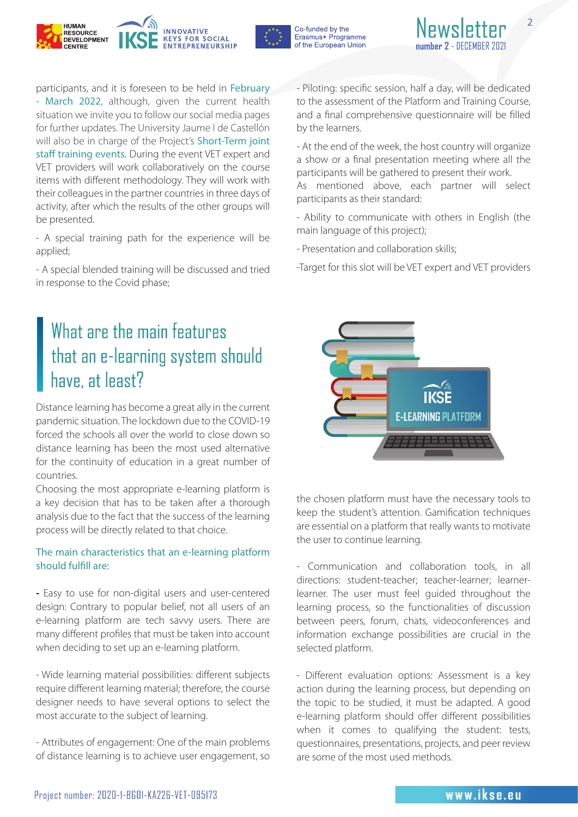





2

participants, and it is foreseen to be held in February - March 2022, although, given the current health situation we invite you to follow our social media pages for further updates. The University Jaume I de Castellón will also be in charge of the Project's Short-Term joint staff training events. During the event VET expert and VET providers will work collaboratively on the course items with different methodology. They will work with their colleagues in the partner countries in three days of activity, after which the results of the other groups will be presented.

- A special training path for the experience will be applied;

- A special blended training will be discussed and tried in response to the Covid phase;

### What are the main features that an e-learning system should have, at least?

Distance learning has become a great ally in the current pandemic situation. The lockdown due to the COVID-19 forced the schools all over the world to close down so distance learning has been the most used alternative for the continuity of education in a great number of countries.

Choosing the most appropriate e-learning platform is a key decision that has to be taken after a thorough analysis due to the fact that the success of the learning process will be directly related to that choice.

#### The main characteristics that an e-learning platform should fulfill are:

**-** Easy to use for non-digital users and user-centered design: Contrary to popular belief, not all users of an e-learning platform are tech savvy users. There are many different profiles that must be taken into account when deciding to set up an e-learning platform.

- Wide learning material possibilities: different subjects require different learning material; therefore, the course designer needs to have several options to select the most accurate to the subject of learning.

- Attributes of engagement: One of the main problems of distance learning is to achieve user engagement, so - Piloting: specific session, half a day, will be dedicated to the assessment of the Platform and Training Course, and a final comprehensive questionnaire will be filled by the learners.

- At the end of the week, the host country will organize a show or a final presentation meeting where all the participants will be gathered to present their work.

As mentioned above, each partner will select participants as their standard:

- Ability to communicate with others in English (the main language of this project);

- Presentation and collaboration skills;

-Target for this slot will be VET expert and VET providers



the chosen platform must have the necessary tools to keep the student's attention. Gamification techniques are essential on a platform that really wants to motivate the user to continue learning.

- Communication and collaboration tools, in all directions: student-teacher; teacher-learner; learnerlearner. The user must feel guided throughout the learning process, so the functionalities of discussion between peers, forum, chats, videoconferences and information exchange possibilities are crucial in the selected platform.

- Different evaluation options: Assessment is a key action during the learning process, but depending on the topic to be studied, it must be adapted. A good e-learning platform should offer different possibilities when it comes to qualifying the student: tests, questionnaires, presentations, projects, and peer review are some of the most used methods.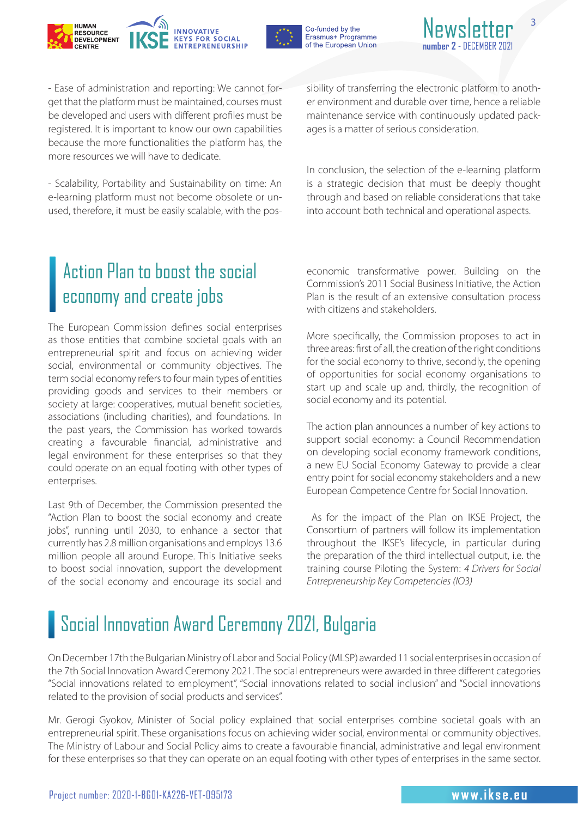



Newsle

3

- Ease of administration and reporting: We cannot forget that the platform must be maintained, courses must be developed and users with different profiles must be registered. It is important to know our own capabilities because the more functionalities the platform has, the more resources we will have to dedicate.

- Scalability, Portability and Sustainability on time: An e-learning platform must not become obsolete or unused, therefore, it must be easily scalable, with the possibility of transferring the electronic platform to another environment and durable over time, hence a reliable maintenance service with continuously updated packages is a matter of serious consideration.

In conclusion, the selection of the e-learning platform is a strategic decision that must be deeply thought through and based on reliable considerations that take into account both technical and operational aspects.

### Action Plan to boost the social economy and create jobs

The European Commission defines social enterprises as those entities that combine societal goals with an entrepreneurial spirit and focus on achieving wider social, environmental or community objectives. The term social economy refers to four main types of entities providing goods and services to their members or society at large: cooperatives, mutual benefit societies, associations (including charities), and foundations. In the past years, the Commission has worked towards creating a favourable financial, administrative and legal environment for these enterprises so that they could operate on an equal footing with other types of enterprises.

Last 9th of December, the Commission presented the "Action Plan to boost the social economy and create jobs", running until 2030, to enhance a sector that currently has 2.8 million organisations and employs 13.6 million people all around Europe. This Initiative seeks to boost social innovation, support the development of the social economy and encourage its social and economic transformative power. Building on the Commission's 2011 Social Business Initiative, the Action Plan is the result of an extensive consultation process with citizens and stakeholders.

More specifically, the Commission proposes to act in three areas: first of all, the creation of the right conditions for the social economy to thrive, secondly, the opening of opportunities for social economy organisations to start up and scale up and, thirdly, the recognition of social economy and its potential.

The action plan announces a number of key actions to support social economy: a Council Recommendation on developing social economy framework conditions, a new EU Social Economy Gateway to provide a clear entry point for social economy stakeholders and a new European Competence Centre for Social Innovation.

 As for the impact of the Plan on IKSE Project, the Consortium of partners will follow its implementation throughout the IKSE's lifecycle, in particular during the preparation of the third intellectual output, i.e. the training course Piloting the System: *4 Drivers for Social Entrepreneurship Key Competencies (IO3)*

# Social Innovation Award Ceremony 2021, Bulgaria

On December 17th the Bulgarian Ministry of Labor and Social Policy (MLSP) awarded 11 social enterprises in occasion of the 7th Social Innovation Award Ceremony 2021. The social entrepreneurs were awarded in three different categories "Social innovations related to employment", "Social innovations related to social inclusion" and "Social innovations related to the provision of social products and services".

Mr. Gerogi Gyokov, Minister of Social policy explained that social enterprises combine societal goals with an entrepreneurial spirit. These organisations focus on achieving wider social, environmental or community objectives. The Ministry of Labour and Social Policy aims to create a favourable financial, administrative and legal environment for these enterprises so that they can operate on an equal footing with other types of enterprises in the same sector.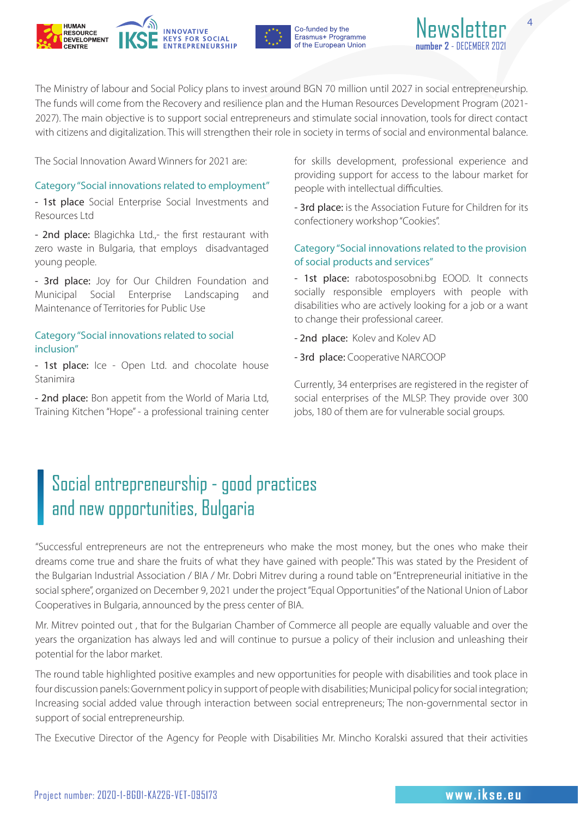



The Ministry of labour and Social Policy plans to invest around BGN 70 million until 2027 in social entrepreneurship. The funds will come from the Recovery and resilience plan and the Human Resources Development Program (2021- 2027). The main objective is to support social entrepreneurs and stimulate social innovation, tools for direct contact with citizens and digitalization. This will strengthen their role in society in terms of social and environmental balance.

The Social Innovation Award Winners for 2021 are:

#### Category "Social innovations related to employment"

- 1st place Social Enterprise Social Investments and Resources Ltd

- 2nd place: Blagichka Ltd.,- the first restaurant with zero waste in Bulgaria, that employs disadvantaged young people.

- 3rd place: Joy for Our Children Foundation and Municipal Social Enterprise Landscaping and Maintenance of Territories for Public Use

#### Category "Social innovations related to social inclusion"

- 1st place: Ice - Open Ltd. and chocolate house Stanimira

- 2nd place: Bon appetit from the World of Maria Ltd, Training Kitchen "Hope" - a professional training center for skills development, professional experience and providing support for access to the labour market for people with intellectual difficulties.

- 3rd place: is the Association Future for Children for its confectionery workshop "Cookies".

#### Category "Social innovations related to the provision of social products and services"

- 1st place: rabotosposobni.bg EOOD. It connects socially responsible employers with people with disabilities who are actively looking for a job or a want to change their professional career.

- 2nd place: Kolev and Kolev AD
- 3rd place: Cooperative NARCOOP

Currently, 34 enterprises are registered in the register of social enterprises of the MLSP. They provide over 300 jobs, 180 of them are for vulnerable social groups.

### Social entrepreneurship - good practices and new opportunities, Bulgaria

"Successful entrepreneurs are not the entrepreneurs who make the most money, but the ones who make their dreams come true and share the fruits of what they have gained with people." This was stated by the President of the Bulgarian Industrial Association / BIA / Mr. Dobri Mitrev during a round table on "Entrepreneurial initiative in the social sphere", organized on December 9, 2021 under the project "Equal Opportunities" of the National Union of Labor Cooperatives in Bulgaria, announced by the press center of BIA.

Mr. Mitrev pointed out , that for the Bulgarian Chamber of Commerce all people are equally valuable and over the years the organization has always led and will continue to pursue a policy of their inclusion and unleashing their potential for the labor market.

The round table highlighted positive examples and new opportunities for people with disabilities and took place in four discussion panels: Government policy in support of people with disabilities; Municipal policy for social integration; Increasing social added value through interaction between social entrepreneurs; The non-governmental sector in support of social entrepreneurship.

The Executive Director of the Agency for People with Disabilities Mr. Mincho Koralski assured that their activities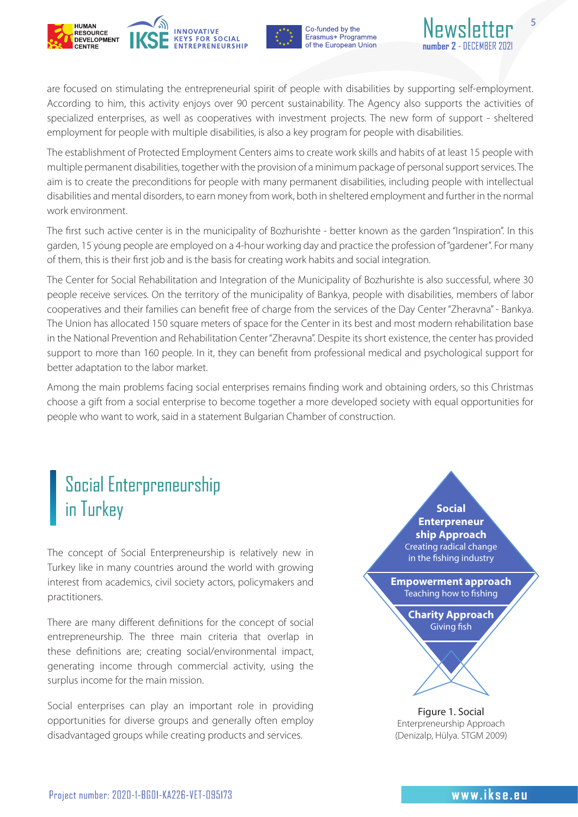



are focused on stimulating the entrepreneurial spirit of people with disabilities by supporting self-employment. According to him, this activity enjoys over 90 percent sustainability. The Agency also supports the activities of specialized enterprises, as well as cooperatives with investment projects. The new form of support - sheltered employment for people with multiple disabilities, is also a key program for people with disabilities.

The establishment of Protected Employment Centers aims to create work skills and habits of at least 15 people with multiple permanent disabilities, together with the provision of a minimum package of personal support services. The aim is to create the preconditions for people with many permanent disabilities, including people with intellectual disabilities and mental disorders, to earn money from work, both in sheltered employment and further in the normal work environment.

The first such active center is in the municipality of Bozhurishte - better known as the garden "Inspiration". In this garden, 15 young people are employed on a 4-hour working day and practice the profession of "gardener". For many of them, this is their first job and is the basis for creating work habits and social integration.

The Center for Social Rehabilitation and Integration of the Municipality of Bozhurishte is also successful, where 30 people receive services. On the territory of the municipality of Bankya, people with disabilities, members of labor cooperatives and their families can benefit free of charge from the services of the Day Center "Zheravna" - Bankya. The Union has allocated 150 square meters of space for the Center in its best and most modern rehabilitation base in the National Prevention and Rehabilitation Center "Zheravna". Despite its short existence, the center has provided support to more than 160 people. In it, they can benefit from professional medical and psychological support for better adaptation to the labor market.

Among the main problems facing social enterprises remains finding work and obtaining orders, so this Christmas choose a gift from a social enterprise to become together a more developed society with equal opportunities for people who want to work, said in a statement Bulgarian Chamber of construction.

### **Social Enterpreneurship** in Turkey

The concept of Social Enterpreneurship is relatively new in Turkey like in many countries around the world with growing interest from academics, civil society actors, policymakers and practitioners.

There are many different definitions for the concept of social entrepreneurship. The three main criteria that overlap in these definitions are; creating social/environmental impact, generating income through commercial activity, using the surplus income for the main mission.

Social enterprises can play an important role in providing opportunities for diverse groups and generally often employ disadvantaged groups while creating products and services.

### **Social Enterpreneur ship Approach** Creating radical change in the fishing industry **Empowerment approach** Teaching how to fishing **Charity Approach** Giving fish

Figure 1. Social Enterpreneurship Approach (Denizalp, Hülya. STGM 2009)